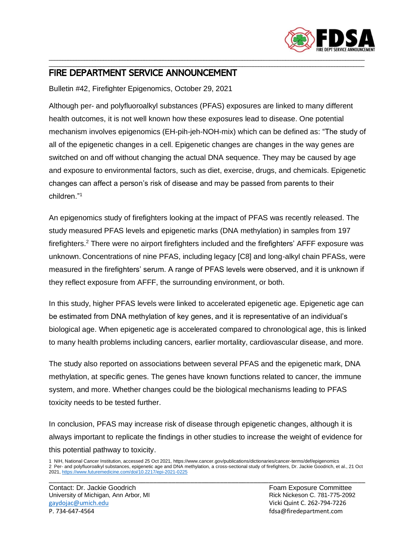

## \_\_\_\_\_\_\_\_\_\_\_\_\_\_\_\_\_\_\_\_\_\_\_\_\_\_\_\_\_\_\_\_\_\_\_\_\_\_\_\_\_\_\_\_\_\_\_\_\_\_\_\_\_\_\_\_\_\_\_\_\_\_\_\_\_\_\_\_\_\_\_\_\_\_\_\_\_\_\_\_\_\_\_\_\_\_\_\_\_\_\_\_\_\_\_\_\_\_\_\_\_\_\_\_\_\_\_\_\_\_\_\_\_\_\_\_ FIRE DEPARTMENT SERVICE ANNOUNCEMENT

Bulletin #42, Firefighter Epigenomics, October 29, 2021

Although per- and polyfluoroalkyl substances (PFAS) exposures are linked to many different health outcomes, it is not well known how these exposures lead to disease. One potential mechanism involves epigenomics (EH-pih-jeh-NOH-mix) which can be defined as: "The study of all of the epigenetic changes in a cell. Epigenetic changes are changes in the way genes are switched on and off without changing the actual DNA sequence. They may be caused by age and exposure to environmental factors, such as diet, exercise, drugs, and chemicals. Epigenetic changes can affect a person's risk of disease and may be passed from parents to their children."<sup>1</sup>

\_\_\_\_\_\_\_\_\_\_\_\_\_\_\_\_\_\_\_\_\_\_\_\_\_\_\_\_\_\_\_\_\_\_\_\_\_\_\_\_\_\_\_\_\_\_\_\_\_\_\_\_\_\_\_\_\_\_\_\_\_\_\_\_\_\_\_\_\_\_\_\_\_\_\_\_\_\_\_\_\_\_\_\_\_\_\_\_\_\_\_\_\_\_\_\_\_\_\_\_\_\_\_\_\_\_\_\_\_\_\_\_\_\_\_\_

An epigenomics study of firefighters looking at the impact of PFAS was recently released. The study measured PFAS levels and epigenetic marks (DNA methylation) in samples from 197 firefighters.<sup>2</sup> There were no airport firefighters included and the firefighters' AFFF exposure was unknown. Concentrations of nine PFAS, including legacy [C8] and long-alkyl chain PFASs, were measured in the firefighters' serum. A range of PFAS levels were observed, and it is unknown if they reflect exposure from AFFF, the surrounding environment, or both.

In this study, higher PFAS levels were linked to accelerated epigenetic age. Epigenetic age can be estimated from DNA methylation of key genes, and it is representative of an individual's biological age. When epigenetic age is accelerated compared to chronological age, this is linked to many health problems including cancers, earlier mortality, cardiovascular disease, and more.

The study also reported on associations between several PFAS and the epigenetic mark, DNA methylation, at specific genes. The genes have known functions related to cancer, the immune system, and more. Whether changes could be the biological mechanisms leading to PFAS toxicity needs to be tested further.

In conclusion, PFAS may increase risk of disease through epigenetic changes, although it is always important to replicate the findings in other studies to increase the weight of evidence for this potential pathway to toxicity.

<sup>1</sup> NIH, National Cancer Institution, accessed 25 Oct 2021, https://www.cancer.gov/publications/dictionaries/cancer-terms/def/epigenomics 2 Per- and polyfluoroalkyl substances, epigenetic age and DNA methylation, a cross-sectional study of firefighters, Dr. Jackie Goodrich, et al., 21 Oct 2021[, https://www.futuremedicine.com/doi/10.2217/epi-2021-0225](https://www.futuremedicine.com/doi/10.2217/epi-2021-0225) \_\_\_\_\_\_\_\_\_\_\_\_\_\_\_\_\_\_\_\_\_\_\_\_\_\_\_\_\_\_\_\_\_\_\_\_\_\_\_\_\_\_\_\_\_\_\_\_\_\_\_\_\_\_\_\_\_\_\_\_\_\_\_\_\_\_\_\_\_\_\_\_\_\_\_\_\_\_\_\_\_\_\_\_\_